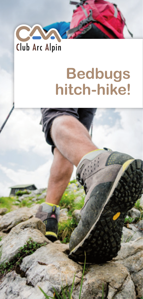

# **Bedbugs hitch-hike!**

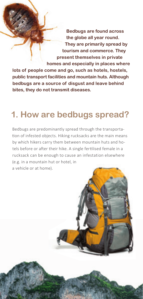**Bedbugs are found across the globe all year round. They are primarily spread by tourism and commerce. They present themselves in private homes and especially in places where lots of people come and go, such as hotels, hostels, public transport facilities and mountain huts. Although bedbugs are a source of disgust and leave behind bites, they do not transmit diseases.**

#### **1. How are bedbugs spread?**

Bedbugs are predominantly spread through the transportation of infested objects. Hiking rucksacks are the main means by which hikers carry them between mountain huts and hotels before or after their hike. A single fertilised female in a rucksack can be enough to cause an infestation elsewhere (e.g. in a mountain hut or hotel, in a vehicle or at home).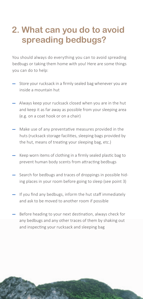### **2. What can you do to avoid spreading bedbugs?**

You should always do everything you can to avoid spreading bedbugs or taking them home with you! Here are some things you can do to help:

- Store your rucksack in a firmly sealed bag whenever you are inside a mountain hut
- Always keep your rucksack closed when you are in the hut and keep it as far away as possible from your sleeping area (e.g. on a coat hook or on a chair)
- Make use of any preventative measures provided in the huts (rucksack storage facilities, sleeping bags provided by the hut, means of treating your sleeping bag, etc.)
- Keep worn items of clothing in a firmly sealed plastic bag to prevent human body scents from attracting bedbugs
- Search for bedbugs and traces of droppings in possible hiding places in your room before going to sleep (see point 3)
- If you find any bedbugs, inform the hut staff immediately and ask to be moved to another room if possible
- Before heading to your next destination, always check for any bedbugs and any other traces of them by shaking out and inspecting your rucksack and sleeping bag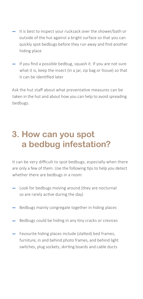- It is best to inspect your rucksack over the shower/bath or outside of the hut against a bright surface so that you can quickly spot bedbugs before they run away and find another hiding place
- If you find a possible bedbug, squash it. If you are not sure what it is, keep the insect (in a jar, zip bag or tissue) so that it can be identified later

Ask the hut staff about what preventative measures can be taken in the hut and about how you can help to avoid spreading bedbugs.

## **3. How can you spot a bedbug infestation?**

It can be very difficult to spot bedbugs, especially when there are only a few of them. Use the following tips to help you detect whether there are bedbugs in a room:

- Look for bedbugs moving around (they are nocturnal so are rarely active during the day)
- Bedbugs mainly congregate together in hiding places
- b Bedbugs could be hiding in any tiny cracks or cr
- $\cdot$  Favourite hiding places include (slatte furniture, in and behind photo fram switches, plug sockets, skirting boards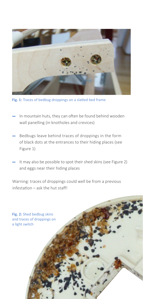

**Fig. 1:** Traces of bedbug droppings on a slatted bed frame

- In mountain huts, they can often be found behind wooden wall panelling (in knotholes and crevices)
- Bedbugs leave behind traces of droppings in the form of black dots at the entrances to their hiding places (see Figure 1)
- It may also be possible to spot their shed skins (see Figure 2) and eggs near their hiding places

Warning: traces of droppings could well be from a previous infestation – ask the hut staff!

**Fig. 2:** Shed bedbug skins and traces of droppings on a light switch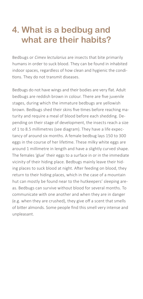#### **4. What is a bedbug and what are their habits?**

Bedbugs or *Cimex lectularius* are insects that bite primarily humans in order to suck blood. They can be found in inhabited indoor spaces, regardless of how clean and hygienic the conditions. They do not transmit diseases.

Bedbugs do not have wings and their bodies are very flat. Adult bedbugs are reddish brown in colour. There are five juvenile stages, during which the immature bedbugs are yellowish brown. Bedbugs shed their skins five times before reaching maturity and require a meal of blood before each shedding. Depending on their stage of development, the insects reach a size of 1 to 8.5 millimetres (see diagram). They have a life expectancy of around six months. A female bedbug lays 150 to 300 eggs in the course of her lifetime. These milky white eggs are around 1 millimetre in length and have a slightly curved shape. The females 'glue' their eggs to a surface in or in the immediate vicinity of their hiding place. Bedbugs mainly leave their hiding places to suck blood at night. After feeding on blood, they return to their hiding places, which in the case of a mountain hut can mostly be found near to the hutkeepers' sleeping areas. Bedbugs can survive without blood for several months. To communicate with one another and when they are in danger (e.g. when they are crushed), they give off a scent that smells of bitter almonds. Some people find this smell very intense and unpleasant.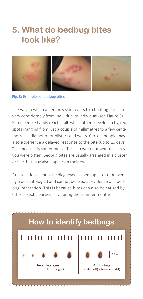#### **5. What do bedbug bites look like?**



**Fig. 3:** Examples of bedbug bites

The way in which a person's skin reacts to a bedbug bite can vary considerably from individual to individual (see Figure 3). Some people hardly react at all, whilst others develop itchy, red spots (ranging from just a couple of millimetres to a few centimetres in diameter) or blisters and welts. Certain people may also experience a delayed response to the bite (up to 10 days). This means it is sometimes difficult to work out where exactly you were bitten. Bedbug bites are usually arranged in a cluster or line, but may also appear on their own.

Skin reactions cannot be diagnosed as bedbug bites (not even by a dermatologist) and cannot be used as evidence of a bedbug infestation. This is because bites can also be caused by other insects, particularly during the summer months.